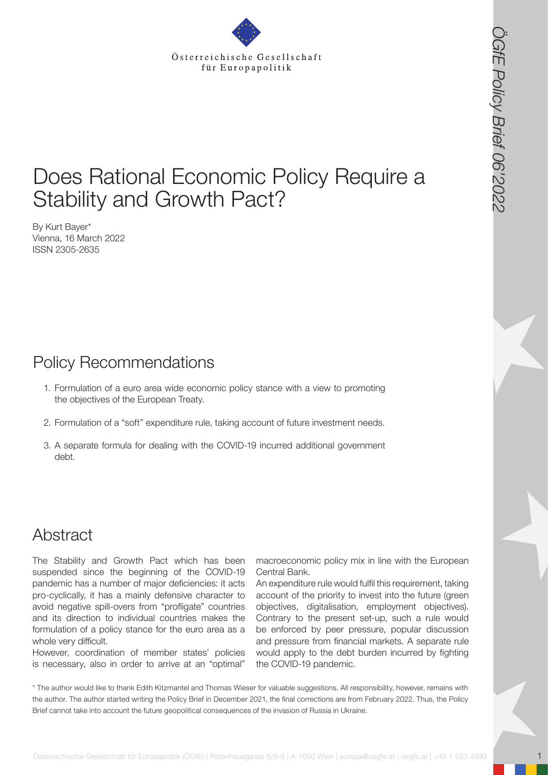# Does Rational Economic Policy Require a Stability and Growth Pact?

By Kurt Bayer\* Vienna, 16 March 2022 ISSN 2305-2635

## Policy Recommendations

- 1. Formulation of a euro area wide economic policy stance with a view to promoting the objectives of the European Treaty.
- 2. Formulation of a "soft" expenditure rule, taking account of future investment needs.
- 3. A separate formula for dealing with the COVID-19 incurred additional government debt.

### Abstract

**Osterreichische Gesellschaft für Europapolitik (ÖGfe) | Roterreichische Gesellschaft für Europapolitik (ÖGfe) | Rotenhausgasse 6/9<br>
Schaff für Europapolitik (ÖGfe) | Rotenhausgasse 6<br>
Marinary of the Common Color | Policy** The Stability and Growth Pact which has been suspended since the beginning of the COVID-19 pandemic has a number of major deficiencies: it acts pro-cyclically, it has a mainly defensive character to avoid negative spill-overs from "profligate" countries and its direction to individual countries makes the formulation of a policy stance for the euro area as a whole very difficult.

However, coordination of member states' policies is necessary, also in order to arrive at an "optimal"

macroeconomic policy mix in line with the European Central Bank.

An expenditure rule would fulfil this requirement, taking account of the priority to invest into the future (green objectives, digitalisation, employment objectives). Contrary to the present set-up, such a rule would be enforced by peer pressure, popular discussion and pressure from financial markets. A separate rule would apply to the debt burden incurred by fighting the COVID-19 pandemic.

\* The author would like to thank Edith Kitzmantel and Thomas Wieser for valuable suggestions. All responsibility, however, remains with the author. The author started writing the Policy Brief in December 2021, the final corrections are from February 2022. Thus, the Policy Brief cannot take into account the future geopolitical consequences of the invasion of Russia in Ukraine.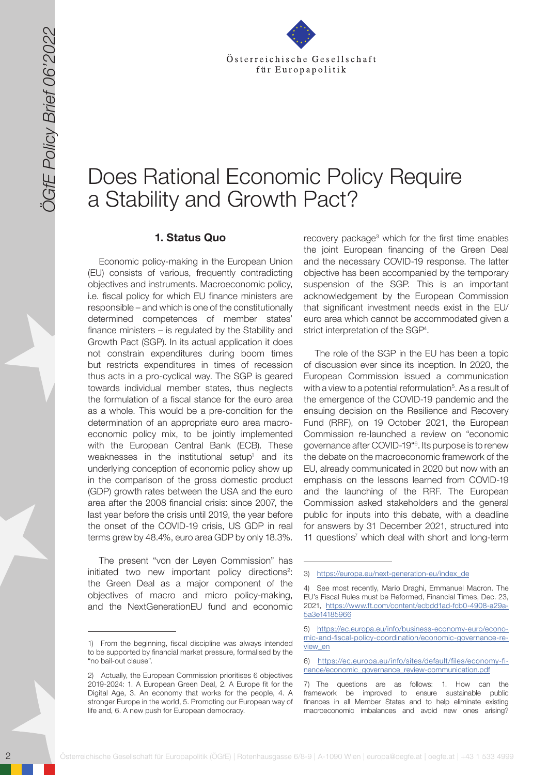

# Does Rational Economic Policy Require a Stability and Growth Pact?

#### **1. Status Quo**

2020<br>
2020 Samment Control Computer in the computer in the computer in the computer in the computer in the computer in the computer in the computer in the computer in the computer in the computer in the computer in the com Economic policy-making in the European Union (EU) consists of various, frequently contradicting objectives and instruments. Macroeconomic policy, i.e. fiscal policy for which EU finance ministers are responsible – and which is one of the constitutionally determined competences of member states' finance ministers – is regulated by the Stability and Growth Pact (SGP). In its actual application it does not constrain expenditures during boom times but restricts expenditures in times of recession thus acts in a pro-cyclical way. The SGP is geared towards individual member states, thus neglects the formulation of a fiscal stance for the euro area as a whole. This would be a pre-condition for the determination of an appropriate euro area macroeconomic policy mix, to be jointly implemented with the European Central Bank (ECB). These weaknesses in the institutional setup<sup>1</sup> and its underlying conception of economic policy show up in the comparison of the gross domestic product (GDP) growth rates between the USA and the euro area after the 2008 financial crisis: since 2007, the last year before the crisis until 2019, the year before the onset of the COVID-19 crisis, US GDP in real terms grew by 48.4%, euro area GDP by only 18.3%.

The present "von der Leyen Commission" has initiated two new important policy directions<sup>2</sup>: the Green Deal as a major component of the objectives of macro and micro policy-making, and the NextGenerationEU fund and economic

recovery package<sup>3</sup> which for the first time enables the joint European financing of the Green Deal and the necessary COVID-19 response. The latter objective has been accompanied by the temporary suspension of the SGP. This is an important acknowledgement by the European Commission that significant investment needs exist in the EU/ euro area which cannot be accommodated given a strict interpretation of the SGP<sup>4</sup>.

The role of the SGP in the EU has been a topic of discussion ever since its inception. In 2020, the European Commission issued a communication with a view to a potential reformulation<sup>5</sup>. As a result of the emergence of the COVID-19 pandemic and the ensuing decision on the Resilience and Recovery Fund (RRF), on 19 October 2021, the European Commission re-launched a review on "economic governance after COVID-19"6 . Its purpose is to renew the debate on the macroeconomic framework of the EU, already communicated in 2020 but now with an emphasis on the lessons learned from COVID-19 and the launching of the RRF. The European Commission asked stakeholders and the general public for inputs into this debate, with a deadline for answers by 31 December 2021, structured into 11 questions<sup>7</sup> which deal with short and long-term

<sup>1)</sup> From the beginning, fiscal discipline was always intended to be supported by financial market pressure, formalised by the "no bail-out clause".

<sup>2)</sup> Actually, the European Commission prioritises 6 objectives 2019-2024: 1. A European Green Deal, 2. A Europe fit for the Digital Age, 3. An economy that works for the people, 4. A stronger Europe in the world, 5. Promoting our European way of life and, 6. A new push for European democracy.

<sup>3)</sup> [https://europa.eu/next-generation-eu/index\\_de](https://europa.eu/next-generation-eu/index_de)

<sup>4)</sup> See most recently, Mario Draghi, Emmanuel Macron. The EU's Fiscal Rules must be Reformed, Financial Times, Dec. 23, 2021, [https://www.ft.com/content/ecbdd1ad-fcb0-4908-a29a-](https://www.ft.com/content/ecbdd1ad-fcb0-4908-a29a-5a3e14185966)[5a3e14185966](https://www.ft.com/content/ecbdd1ad-fcb0-4908-a29a-5a3e14185966)

<sup>5)</sup> [https://ec.europa.eu/info/business-economy-euro/econo](https://ec.europa.eu/info/business-economy-euro/economic-and-fiscal-policy-coordination/economic-governance-review_en)[mic-and-fiscal-policy-coordination/economic-governance-re](https://ec.europa.eu/info/business-economy-euro/economic-and-fiscal-policy-coordination/economic-governance-review_en)[view\\_en](https://ec.europa.eu/info/business-economy-euro/economic-and-fiscal-policy-coordination/economic-governance-review_en)

<sup>6)</sup> [https://ec.europa.eu/info/sites/default/files/economy-fi](https://ec.europa.eu/info/sites/default/files/economy-finance/economic_governance_review-communication.pdf)[nance/economic\\_governance\\_review-communication.pdf](https://ec.europa.eu/info/sites/default/files/economy-finance/economic_governance_review-communication.pdf)

<sup>7)</sup> The questions are as follows: 1. How can the framework be improved to ensure sustainable public finances in all Member States and to help eliminate existing macroeconomic imbalances and avoid new ones arising?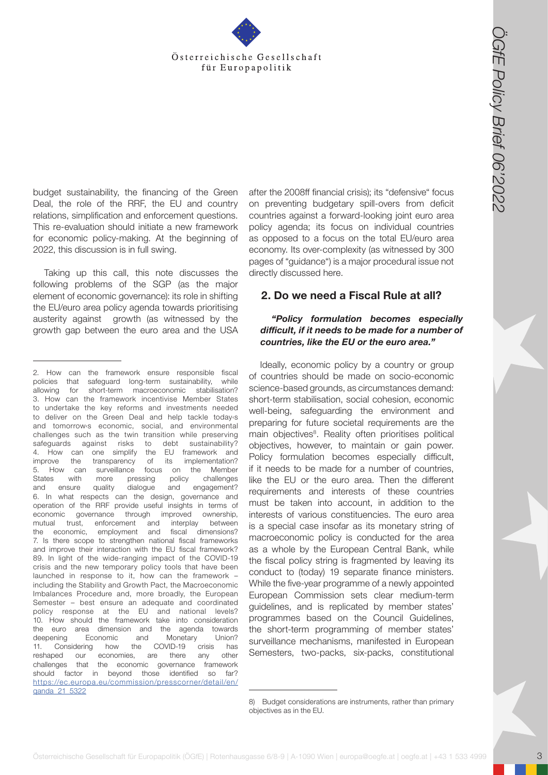

budget sustainability, the financing of the Green Deal, the role of the RRF, the EU and country relations, simplification and enforcement questions. This re-evaluation should initiate a new framework for economic policy-making. At the beginning of 2022, this discussion is in full swing.

Taking up this call, this note discusses the following problems of the SGP (as the major element of economic governance): its role in shifting the EU/euro area policy agenda towards prioritising austerity against growth (as witnessed by the growth gap between the euro area and the USA

after the 2008ff financial crisis); its "defensive" focus on preventing budgetary spill-overs from deficit countries against a forward-looking joint euro area policy agenda; its focus on individual countries as opposed to a focus on the total EU/euro area economy. Its over-complexity (as witnessed by 300 pages of "guidance") is a major procedural issue not directly discussed here.

#### **2. Do we need a Fiscal Rule at all?**

#### *"Policy formulation becomes especially difficult, if it needs to be made for a number of countries, like the EU or the euro area."*

Ideally, economic policy by a country or group of countries should be made on socio-economic science-based grounds, as circumstances demand: short-term stabilisation, social cohesion, economic well-being, safeguarding the environment and preparing for future societal requirements are the main objectives<sup>8</sup>. Reality often prioritises political objectives, however, to maintain or gain power. Policy formulation becomes especially difficult, if it needs to be made for a number of countries, like the EU or the euro area. Then the different requirements and interests of these countries must be taken into account, in addition to the interests of various constituencies. The euro area is a special case insofar as its monetary string of macroeconomic policy is conducted for the area as a whole by the European Central Bank, while the fiscal policy string is fragmented by leaving its conduct to (today) 19 separate finance ministers. While the five-year programme of a newly appointed European Commission sets clear medium-term guidelines, and is replicated by member states' programmes based on the Council Guidelines, the short-term programming of member states' surveillance mechanisms, manifested in European Semesters, two-packs, six-packs, constitutional

**Osterreichische Gesellschaft für Europapolitik (OGfE) | Rotenhausgasse 6/8-9 | A-1090 Wien | Rotenhausgasse 6/8-9 | A-1090 Wien | A-1090 Wien | A-1090 Wien | A-1090 Wien | A-1090 Wien | A-1090 Wien | A-1090 Wien | A-1090** 2. How can the framework ensure responsible fiscal policies that safeguard long-term sustainability, while allowing for short-term macroeconomic stabilisation? 3. How can the framework incentivise Member States to undertake the key reforms and investments needed to deliver on the Green Deal and help tackle today‹s and tomorrow‹s economic, social, and environmental challenges such as the twin transition while preserving safeguards against risks to debt sustainability? 4. How can one simplify the EU framework and improve the transparency of its implementation? 5. How can surveillance focus on the Member States with more pressing policy challenges and ensure quality dialogue and engagement? 6. In what respects can the design, governance and operation of the RRF provide useful insights in terms of economic governance through improved ownership, mutual trust, enforcement and interplay between the economic, employment and fiscal dimensions? 7. Is there scope to strengthen national fiscal frameworks and improve their interaction with the EU fiscal framework? 89. In light of the wide-ranging impact of the COVID-19 crisis and the new temporary policy tools that have been launched in response to it, how can the framework – including the Stability and Growth Pact, the Macroeconomic Imbalances Procedure and, more broadly, the European Semester – best ensure an adequate and coordinated policy response at the EU and national levels? 10. How should the framework take into consideration the euro area dimension and the agenda towards deepening Economic and Monetary Union? 11. Considering how the COVID-19 crisis has reshaped our economies, are there any other challenges that the economic governance framework should factor in beyond those identified so far? [https://ec.europa.eu/commission/presscorner/detail/en/](https://ec.europa.eu/commission/presscorner/detail/en/qanda_21_5322) [qanda\\_21\\_5322](https://ec.europa.eu/commission/presscorner/detail/en/qanda_21_5322)

<sup>8)</sup> Budget considerations are instruments, rather than primary objectives as in the EU.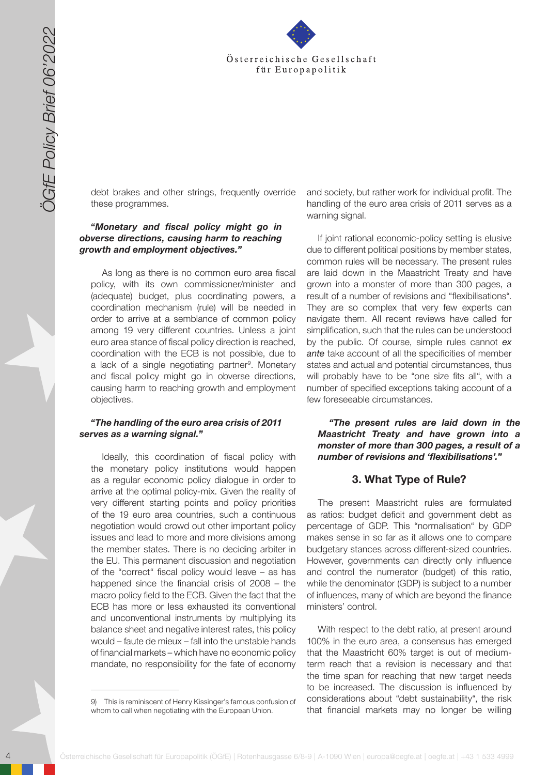

debt brakes and other strings, frequently override these programmes.

#### *"Monetary and fiscal policy might go in obverse directions, causing harm to reaching growth and employment objectives."*

As long as there is no common euro area fiscal policy, with its own commissioner/minister and (adequate) budget, plus coordinating powers, a coordination mechanism (rule) will be needed in order to arrive at a semblance of common policy among 19 very different countries. Unless a joint euro area stance of fiscal policy direction is reached, coordination with the ECB is not possible, due to a lack of a single negotiating partner<sup>9</sup>. Monetary and fiscal policy might go in obverse directions, causing harm to reaching growth and employment objectives.

#### *"The handling of the euro area crisis of 2011 serves as a warning signal."*

4 October 1998 **Control of the control of the matrix (CGFE)** and the set of the set of the set of the set of the set of the set of the set of the set of the set of the set of the set of the set of the set of the set of the Ideally, this coordination of fiscal policy with the monetary policy institutions would happen as a regular economic policy dialogue in order to arrive at the optimal policy-mix. Given the reality of very different starting points and policy priorities of the 19 euro area countries, such a continuous negotiation would crowd out other important policy issues and lead to more and more divisions among the member states. There is no deciding arbiter in the EU. This permanent discussion and negotiation of the "correct" fiscal policy would leave – as has happened since the financial crisis of 2008 – the macro policy field to the ECB. Given the fact that the ECB has more or less exhausted its conventional and unconventional instruments by multiplying its balance sheet and negative interest rates, this policy would – faute de mieux – fall into the unstable hands of financial markets – which have no economic policy mandate, no responsibility for the fate of economy

and society, but rather work for individual profit. The handling of the euro area crisis of 2011 serves as a warning signal.

If joint rational economic-policy setting is elusive due to different political positions by member states, common rules will be necessary. The present rules are laid down in the Maastricht Treaty and have grown into a monster of more than 300 pages, a result of a number of revisions and "flexibilisations". They are so complex that very few experts can navigate them. All recent reviews have called for simplification, such that the rules can be understood by the public. Of course, simple rules cannot *ex ante* take account of all the specificities of member states and actual and potential circumstances, thus will probably have to be "one size fits all", with a number of specified exceptions taking account of a few foreseeable circumstances.

*"The present rules are laid down in the Maastricht Treaty and have grown into a monster of more than 300 pages, a result of a number of revisions and 'flexibilisations'."* 

### **3. What Type of Rule?**

The present Maastricht rules are formulated as ratios: budget deficit and government debt as percentage of GDP. This "normalisation" by GDP makes sense in so far as it allows one to compare budgetary stances across different-sized countries. However, governments can directly only influence and control the numerator (budget) of this ratio, while the denominator (GDP) is subject to a number of influences, many of which are beyond the finance ministers' control.

With respect to the debt ratio, at present around 100% in the euro area, a consensus has emerged that the Maastricht 60% target is out of mediumterm reach that a revision is necessary and that the time span for reaching that new target needs to be increased. The discussion is influenced by considerations about "debt sustainability", the risk that financial markets may no longer be willing

<sup>9)</sup> This is reminiscent of Henry Kissinger's famous confusion of whom to call when negotiating with the European Union.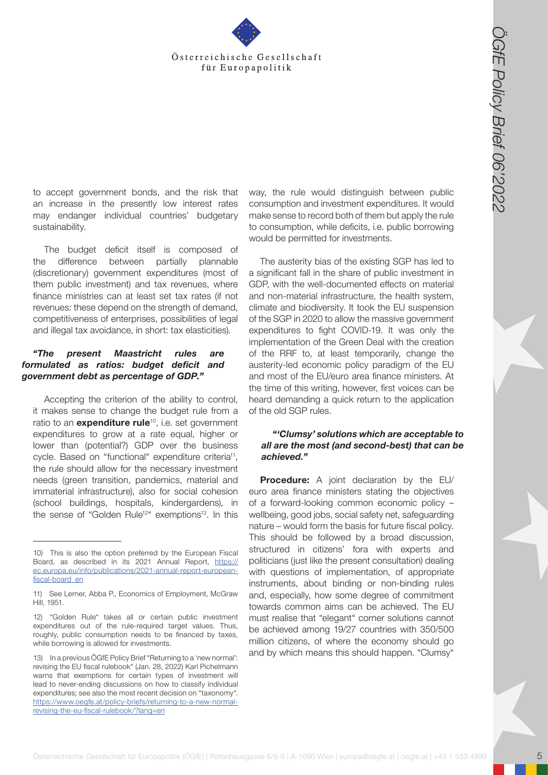

to accept government bonds, and the risk that an increase in the presently low interest rates may endanger individual countries' budgetary sustainability.

The budget deficit itself is composed of the difference between partially plannable (discretionary) government expenditures (most of them public investment) and tax revenues, where finance ministries can at least set tax rates (if not revenues: these depend on the strength of demand, competitiveness of enterprises, possibilities of legal and illegal tax avoidance, in short: tax elasticities).

#### *"The present Maastricht rules are formulated as ratios: budget deficit and government debt as percentage of GDP."*

Accepting the criterion of the ability to control, it makes sense to change the budget rule from a ratio to an **expenditure rule**<sup>10</sup>, i.e. set government expenditures to grow at a rate equal, higher or lower than (potential?) GDP over the business cycle. Based on "functional" expenditure criteria<sup>11</sup>, the rule should allow for the necessary investment needs (green transition, pandemics, material and immaterial infrastructure), also for social cohesion (school buildings, hospitals, kindergardens), in the sense of "Golden Rule<sup>12</sup>" exemptions<sup>13</sup>. In this

way, the rule would distinguish between public consumption and investment expenditures. It would make sense to record both of them but apply the rule to consumption, while deficits, i.e. public borrowing would be permitted for investments.

The austerity bias of the existing SGP has led to a significant fall in the share of public investment in GDP, with the well-documented effects on material and non-material infrastructure, the health system, climate and biodiversity. It took the EU suspension of the SGP in 2020 to allow the massive government expenditures to fight COVID-19. It was only the implementation of the Green Deal with the creation of the RRF to, at least temporarily, change the austerity-led economic policy paradigm of the EU and most of the EU/euro area finance ministers. At the time of this writing, however, first voices can be heard demanding a quick return to the application of the old SGP rules.

#### *"'Clumsy' solutions which are acceptable to all are the most (and second-best) that can be achieved."*

Österreichische Gesellschaft für Europapolitik (Cffer Europapolitik (Cffer Europapolitik (Cffer Europapolitik (Cffer Europapolitik Cffer Europapolitik (Cffer Europapolitik Cffer Europapolitik (Cffer Europapolitik (Cffer E **Procedure:** A joint declaration by the EU/ euro area finance ministers stating the objectives of a forward-looking common economic policy – wellbeing, good jobs, social safety net, safeguarding nature – would form the basis for future fiscal policy. This should be followed by a broad discussion, structured in citizens' fora with experts and politicians (just like the present consultation) dealing with questions of implementation, of appropriate instruments, about binding or non-binding rules and, especially, how some degree of commitment towards common aims can be achieved. The EU must realise that "elegant" corner solutions cannot be achieved among 19/27 countries with 350/500 million citizens, of where the economy should go and by which means this should happen. "Clumsy"

<sup>10)</sup> This is also the option preferred by the European Fiscal Board, as described in its 2021 Annual Report, [https://](https://ec.europa.eu/info/publications/2021-annual-report-european-fiscal-board_en) [ec.europa.eu/info/publications/2021-annual-report-european](https://ec.europa.eu/info/publications/2021-annual-report-european-fiscal-board_en)[fiscal-board\\_en](https://ec.europa.eu/info/publications/2021-annual-report-european-fiscal-board_en)

<sup>11)</sup> See Lerner, Abba P., Economics of Employment, McGraw Hill, 1951.

<sup>12)</sup> "Golden Rule" takes all or certain public investment expenditures out of the rule-required target values. Thus, roughly, public consumption needs to be financed by taxes, while borrowing is allowed for investments.

<sup>13)</sup> In a previous ÖGfE Policy Brief "Returning to a 'new normal': revising the EU fiscal rulebook" (Jan. 28, 2022) Karl Pichelmann warns that exemptions for certain types of investment will lead to never-ending discussions on how to classify individual expenditures; see also the most recent decision on "taxonomy". [https://www.oegfe.at/policy-briefs/returning-to-a-new-normal](https://www.oegfe.at/policy-briefs/returning-to-a-new-normal-revising-the-eu-fiscal-rulebook/?lang=e)[revising-the-eu-fiscal-rulebook/?lang=en](https://www.oegfe.at/policy-briefs/returning-to-a-new-normal-revising-the-eu-fiscal-rulebook/?lang=e)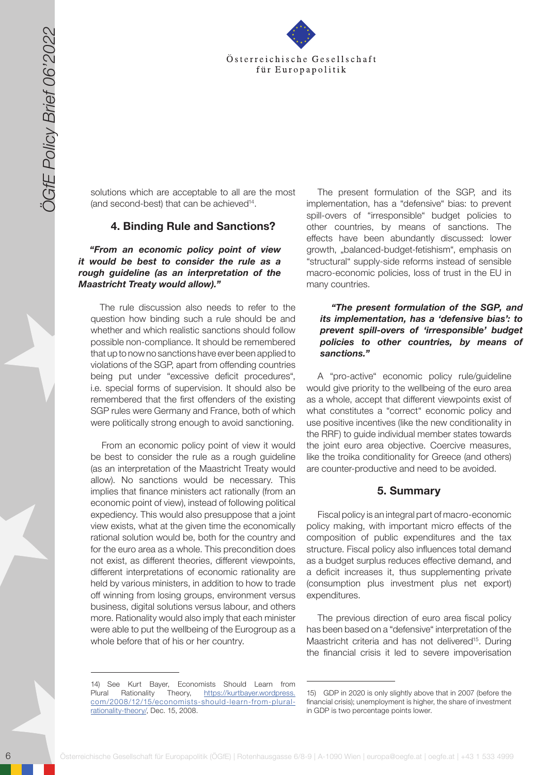

solutions which are acceptable to all are the most (and second-best) that can be achieved<sup>14</sup>.

#### **4. Binding Rule and Sanctions?**

*"From an economic policy point of view it would be best to consider the rule as a rough guideline (as an interpretation of the Maastricht Treaty would allow)."* 

The rule discussion also needs to refer to the question how binding such a rule should be and whether and which realistic sanctions should follow possible non-compliance. It should be remembered that up to now no sanctions have ever been applied to violations of the SGP, apart from offending countries being put under "excessive deficit procedures", i.e. special forms of supervision. It should also be remembered that the first offenders of the existing SGP rules were Germany and France, both of which were politically strong enough to avoid sanctioning.

6 Solen Train and Controller field for the state of the state of the state of the state of the state of the state of the state of the state of the state of the state of the state of the state of the state of the state of t From an economic policy point of view it would be best to consider the rule as a rough guideline (as an interpretation of the Maastricht Treaty would allow). No sanctions would be necessary. This implies that finance ministers act rationally (from an economic point of view), instead of following political expediency. This would also presuppose that a joint view exists, what at the given time the economically rational solution would be, both for the country and for the euro area as a whole. This precondition does not exist, as different theories, different viewpoints, different interpretations of economic rationality are held by various ministers, in addition to how to trade off winning from losing groups, environment versus business, digital solutions versus labour, and others more. Rationality would also imply that each minister were able to put the wellbeing of the Eurogroup as a whole before that of his or her country.

The present formulation of the SGP, and its implementation, has a "defensive" bias: to prevent spill-overs of "irresponsible" budget policies to other countries, by means of sanctions. The effects have been abundantly discussed: lower growth, "balanced-budget-fetishism", emphasis on "structural" supply-side reforms instead of sensible macro-economic policies, loss of trust in the EU in many countries.

#### *"The present formulation of the SGP, and its implementation, has a 'defensive bias': to prevent spill-overs of 'irresponsible' budget policies to other countries, by means of sanctions."*

A "pro-active" economic policy rule/guideline would give priority to the wellbeing of the euro area as a whole, accept that different viewpoints exist of what constitutes a "correct" economic policy and use positive incentives (like the new conditionality in the RRF) to guide individual member states towards the joint euro area objective. Coercive measures, like the troika conditionality for Greece (and others) are counter-productive and need to be avoided.

#### **5. Summary**

Fiscal policy is an integral part of macro-economic policy making, with important micro effects of the composition of public expenditures and the tax structure. Fiscal policy also influences total demand as a budget surplus reduces effective demand, and a deficit increases it, thus supplementing private (consumption plus investment plus net export) expenditures.

The previous direction of euro area fiscal policy has been based on a "defensive" interpretation of the Maastricht criteria and has not delivered<sup>15</sup>. During the financial crisis it led to severe impoverisation

<sup>14)</sup> See Kurt Bayer, Economists Should Learn from Plural Rationality Theory, h[ttps://kurtbayer.wordpress.](https://kurtbayer.wordpress.com/2008/12/15/economists-should-learn-from-plural-rationality-theory/) [com/2008/12/15/economists-should-learn-from-plural](https://kurtbayer.wordpress.com/2008/12/15/economists-should-learn-from-plural-rationality-theory/)[rationality-theory/](https://kurtbayer.wordpress.com/2008/12/15/economists-should-learn-from-plural-rationality-theory/), Dec. 15, 2008.

<sup>15)</sup> GDP in 2020 is only slightly above that in 2007 (before the financial crisis); unemployment is higher, the share of investment in GDP is two percentage points lower.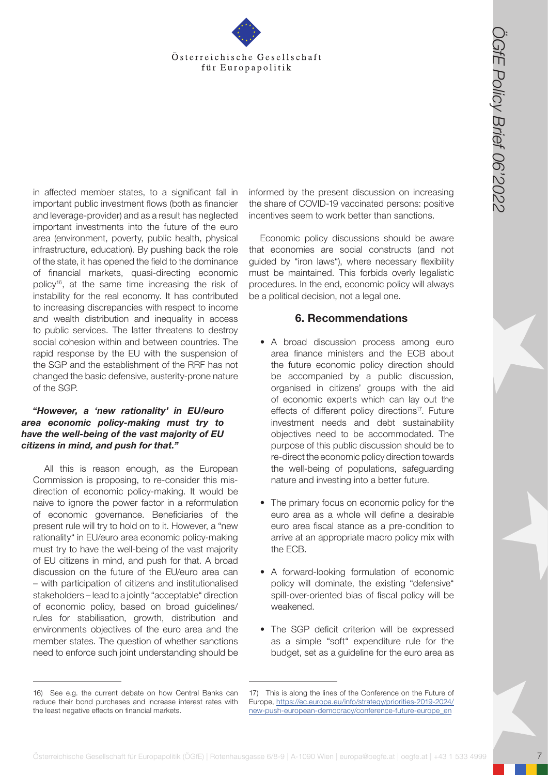

**Osterreichische Gesellschaft für Europapolitik (Conservation Conservation Conservation Conservation Conservation Conservation Conservation Conservation Conservation Conservation Conservation Conservation Conservation Con** in affected member states, to a significant fall in important public investment flows (both as financier and leverage-provider) and as a result has neglected important investments into the future of the euro area (environment, poverty, public health, physical infrastructure, education). By pushing back the role of the state, it has opened the field to the dominance of financial markets, quasi-directing economic policy16, at the same time increasing the risk of instability for the real economy. It has contributed to increasing discrepancies with respect to income and wealth distribution and inequality in access to public services. The latter threatens to destroy social cohesion within and between countries. The rapid response by the EU with the suspension of the SGP and the establishment of the RRF has not changed the basic defensive, austerity-prone nature of the SGP.

#### *"However, a 'new rationality' in EU/euro area economic policy-making must try to have the well-being of the vast majority of EU citizens in mind, and push for that."*

All this is reason enough, as the European Commission is proposing, to re-consider this misdirection of economic policy-making. It would be naive to ignore the power factor in a reformulation of economic governance. Beneficiaries of the present rule will try to hold on to it. However, a "new rationality" in EU/euro area economic policy-making must try to have the well-being of the vast majority of EU citizens in mind, and push for that. A broad discussion on the future of the EU/euro area can – with participation of citizens and institutionalised stakeholders – lead to a jointly "acceptable" direction of economic policy, based on broad guidelines/ rules for stabilisation, growth, distribution and environments objectives of the euro area and the member states. The question of whether sanctions need to enforce such joint understanding should be

informed by the present discussion on increasing the share of COVID-19 vaccinated persons: positive incentives seem to work better than sanctions.

Economic policy discussions should be aware that economies are social constructs (and not guided by "iron laws"), where necessary flexibility must be maintained. This forbids overly legalistic procedures. In the end, economic policy will always be a political decision, not a legal one.

### **6. Recommendations**

- A broad discussion process among euro area finance ministers and the ECB about the future economic policy direction should be accompanied by a public discussion, organised in citizens' groups with the aid of economic experts which can lay out the effects of different policy directions<sup>17</sup>. Future investment needs and debt sustainability objectives need to be accommodated. The purpose of this public discussion should be to re-direct the economic policy direction towards the well-being of populations, safeguarding nature and investing into a better future.
- The primary focus on economic policy for the euro area as a whole will define a desirable euro area fiscal stance as a pre-condition to arrive at an appropriate macro policy mix with the ECB.
- A forward-looking formulation of economic policy will dominate, the existing "defensive" spill-over-oriented bias of fiscal policy will be weakened.
- The SGP deficit criterion will be expressed as a simple "soft" expenditure rule for the budget, set as a guideline for the euro area as

<sup>16)</sup> See e.g. the current debate on how Central Banks can reduce their bond purchases and increase interest rates with the least negative effects on financial markets.

<sup>17)</sup> This is along the lines of the Conference on the Future of Europe, [https://ec.europa.eu/info/strategy/priorities-2019-2024/](https://ec.europa.eu/info/strategy/priorities-2019-2024/new-push-european-democracy/conference-future-europe_en) [new-push-european-democracy/conference-future-europe\\_en](https://ec.europa.eu/info/strategy/priorities-2019-2024/new-push-european-democracy/conference-future-europe_en)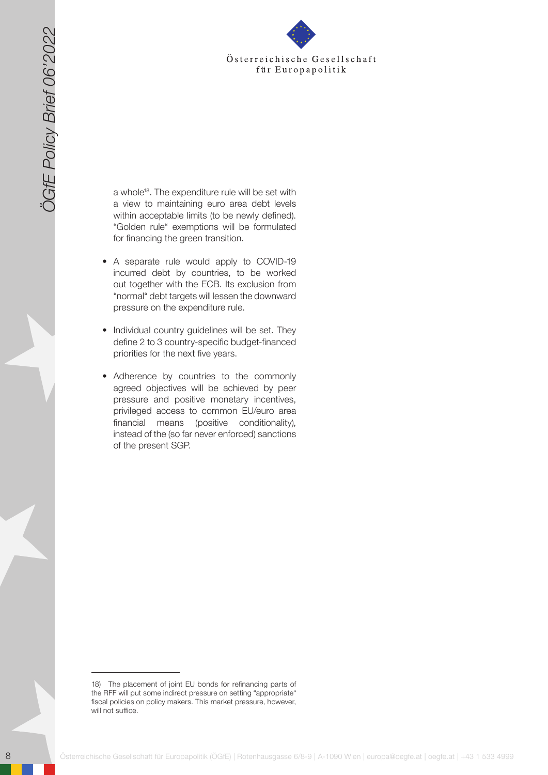

a whole<sup>18</sup>. The expenditure rule will be set with a view to maintaining euro area debt levels within acceptable limits (to be newly defined). "Golden rule" exemptions will be formulated for financing the green transition.

- A separate rule would apply to COVID-19 incurred debt by countries, to be worked out together with the ECB. Its exclusion from "normal" debt targets will lessen the downward pressure on the expenditure rule.
- Individual country guidelines will be set. They define 2 to 3 country-specific budget-financed priorities for the next five years.
- 8 Osterreichische Gesellschaft für Europapolitik (ÖGfE) | Rotenhausgasse 6/8-9 | A-1090 Wien | europapolitik (ÖGfE) | Rotenhausgasse 6/8-9 | A-1090 Wien | europapolitik (ÖGfE) | a-1090 Wien | europapolitik (ÖGfE) | Roten • Adherence by countries to the commonly agreed objectives will be achieved by peer pressure and positive monetary incentives, privileged access to common EU/euro area financial means (positive conditionality), instead of the (so far never enforced) sanctions of the present SGP.

<sup>18)</sup> The placement of joint EU bonds for refinancing parts of the RFF will put some indirect pressure on setting "appropriate" fiscal policies on policy makers. This market pressure, however, will not suffice.